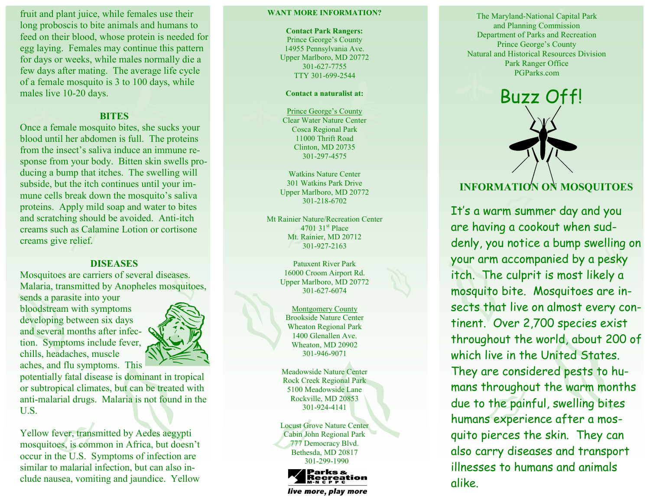fruit and plant juice, while females use their long proboscis to bite animals and humans to feed on their blood, whose protein is needed for egg laying. Females may continue this pattern for days or weeks, while males normally die a few days after mating. The average life cycle of a female mosquito is 3 to 100 days, while males live 10 -20 days.

## **BITES**

Once a female mosquito bites, she sucks your blood until her abdomen is full. The proteins from the insect's saliva induce an immune response from your body. Bitten skin swells producing a bump that itches. The swelling will subside, but the itch continues until your immune cells break down the mosquito's saliva proteins. Apply mild soap and water to bites and scratching should be avoided. Anti -itch creams such as Calamine Lotion or cortisone creams give relief.

# **DISEASES**

Mosquitoes are carriers of several diseases. Malaria, transmitted by Anopheles mosquitoes, sends a parasite into your bloodstream with symptoms developing between six days and several months after infection. Symptoms include fever, chills, headaches, muscle aches, and flu symptoms. This



potentially fatal disease is dominant in tropical or subtropical climates, but can be treated with anti -malarial drugs. Malaria is not found in the U.S.

Yellow fever, transmitted by Aedes aegypti mosquitoes, is common in Africa, but doesn't occur in the U.S. Symptoms of infection are similar to malarial infection, but can also include nausea, vomiting and jaundice. Yellow

#### **WANT MORE INFORMATION?**

**Contact Park Rangers:** Prince George's County 14955 Pennsylvania Ave. Upper Marlboro, MD 20772 301 -627 -7755 TTY 301 -699 -2544

### **Contact a naturalist at:**

Prince George's County Clear Water Nature Center Cosca Regional Park 11000 Thrift Road Clinton, MD 20735 301 -297 -4575

Watkins Nature Center 301 Watkins Park Drive Upper Marlboro, MD 20772 301 -218 -6702

Mt Rainier Nature/Recreation Center  $4701$  31<sup>st</sup> Place Mt. Rainier, MD 20712 301 -927 -2163

> Patuxent River Park 16000 Croom Airport Rd. Upper Marlboro, MD 20772 301 -627 -6074

Montgomery County Brookside Nature Center Wheaton Regional Park 1400 Glenallen Ave. Wheaton, MD 20902 301 -946 -9071

Meadowside Nature Center Rock Creek Regional Park 5100 Meadowside Lane Rockville, MD 20853 301 -924 -4141

Locust Grove Nature Center Cabin John Regional Park 777 Democracy Blvd. Bethesda, MD 20817 301 -299 -1990



live more, play more

The Maryland -National Capital Park and Planning Commission Department of Parks and Recreation Prince George's County Natural and Historical Resources Division Park Ranger Office PGParks.com



# **INFORMATION ON MOSQUITOES**

It's a warm summer day and you are having a cookout when suddenly, you notice a bump swelling on your arm accompanied by a pesky itch. The culprit is most likely a mosquito bite. Mosquitoes are insects that live on almost every continent. Over 2,700 species exist throughout the world, about 200 of which live in the United States. They are considered pests to humans throughout the warm months due to the painful, swelling bites humans experience after a mosquito pierces the skin. They can also carry diseases and transport illnesses to humans and animals alike.